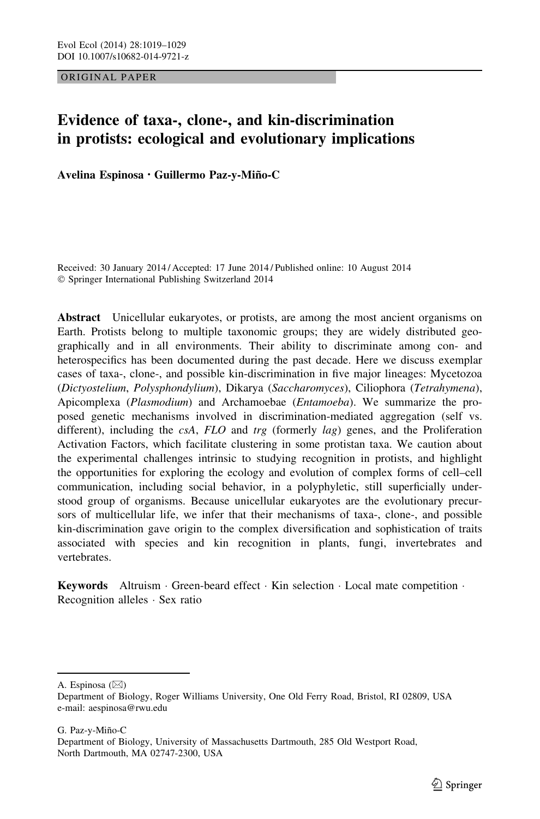ORIGINAL PAPER

# Evidence of taxa-, clone-, and kin-discrimination in protists: ecological and evolutionary implications

Avelina Espinosa · Guillermo Paz-y-Miño-C

Received: 30 January 2014 / Accepted: 17 June 2014 / Published online: 10 August 2014 - Springer International Publishing Switzerland 2014

Abstract Unicellular eukaryotes, or protists, are among the most ancient organisms on Earth. Protists belong to multiple taxonomic groups; they are widely distributed geographically and in all environments. Their ability to discriminate among con- and heterospecifics has been documented during the past decade. Here we discuss exemplar cases of taxa-, clone-, and possible kin-discrimination in five major lineages: Mycetozoa (Dictyostelium, Polysphondylium), Dikarya (Saccharomyces), Ciliophora (Tetrahymena), Apicomplexa (Plasmodium) and Archamoebae (Entamoeba). We summarize the proposed genetic mechanisms involved in discrimination-mediated aggregation (self vs. different), including the  $csA$ ,  $FLO$  and  $trg$  (formerly  $lag$ ) genes, and the Proliferation Activation Factors, which facilitate clustering in some protistan taxa. We caution about the experimental challenges intrinsic to studying recognition in protists, and highlight the opportunities for exploring the ecology and evolution of complex forms of cell–cell communication, including social behavior, in a polyphyletic, still superficially understood group of organisms. Because unicellular eukaryotes are the evolutionary precursors of multicellular life, we infer that their mechanisms of taxa-, clone-, and possible kin-discrimination gave origin to the complex diversification and sophistication of traits associated with species and kin recognition in plants, fungi, invertebrates and vertebrates.

Keywords Altruism · Green-beard effect · Kin selection · Local mate competition · Recognition alleles - Sex ratio

A. Espinosa  $(\boxtimes)$ 

Department of Biology, Roger Williams University, One Old Ferry Road, Bristol, RI 02809, USA e-mail: aespinosa@rwu.edu

G. Paz-y-Miño-C

Department of Biology, University of Massachusetts Dartmouth, 285 Old Westport Road, North Dartmouth, MA 02747-2300, USA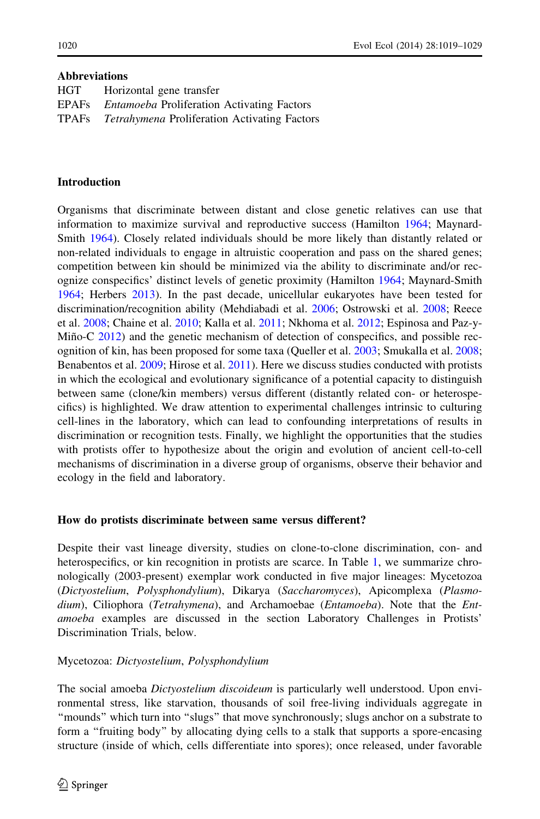## Abbreviations

| HGT   | Horizontal gene transfer                            |
|-------|-----------------------------------------------------|
| EPAFs | <i>Entamoeba</i> Proliferation Activating Factors   |
| TPAFs | <i>Tetrahymena</i> Proliferation Activating Factors |

## Introduction

Organisms that discriminate between distant and close genetic relatives can use that information to maximize survival and reproductive success (Hamilton [1964](#page-9-0); Maynard-Smith [1964\)](#page-10-0). Closely related individuals should be more likely than distantly related or non-related individuals to engage in altruistic cooperation and pass on the shared genes; competition between kin should be minimized via the ability to discriminate and/or recognize conspecifics' distinct levels of genetic proximity (Hamilton [1964;](#page-9-0) Maynard-Smith [1964;](#page-10-0) Herbers [2013](#page-9-0)). In the past decade, unicellular eukaryotes have been tested for discrimination/recognition ability (Mehdiabadi et al. [2006;](#page-10-0) Ostrowski et al. [2008](#page-10-0); Reece et al. [2008;](#page-10-0) Chaine et al. [2010](#page-9-0); Kalla et al. [2011;](#page-9-0) Nkhoma et al. [2012;](#page-10-0) Espinosa and Paz-y-Miño-C  $2012$ ) and the genetic mechanism of detection of conspecifics, and possible recognition of kin, has been proposed for some taxa (Queller et al. [2003](#page-10-0); Smukalla et al. [2008;](#page-10-0) Benabentos et al. [2009;](#page-9-0) Hirose et al. [2011\)](#page-9-0). Here we discuss studies conducted with protists in which the ecological and evolutionary significance of a potential capacity to distinguish between same (clone/kin members) versus different (distantly related con- or heterospecifics) is highlighted. We draw attention to experimental challenges intrinsic to culturing cell-lines in the laboratory, which can lead to confounding interpretations of results in discrimination or recognition tests. Finally, we highlight the opportunities that the studies with protists offer to hypothesize about the origin and evolution of ancient cell-to-cell mechanisms of discrimination in a diverse group of organisms, observe their behavior and ecology in the field and laboratory.

# How do protists discriminate between same versus different?

Despite their vast lineage diversity, studies on clone-to-clone discrimination, con- and heterospecifics, or kin recognition in protists are scarce. In Table [1,](#page-2-0) we summarize chronologically (2003-present) exemplar work conducted in five major lineages: Mycetozoa (Dictyostelium, Polysphondylium), Dikarya (Saccharomyces), Apicomplexa (Plasmodium), Ciliophora (Tetrahymena), and Archamoebae (Entamoeba). Note that the Entamoeba examples are discussed in the section Laboratory Challenges in Protists' Discrimination Trials, below.

# Mycetozoa: Dictyostelium, Polysphondylium

The social amoeba *Dictyostelium discoideum* is particularly well understood. Upon environmental stress, like starvation, thousands of soil free-living individuals aggregate in ''mounds'' which turn into ''slugs'' that move synchronously; slugs anchor on a substrate to form a ''fruiting body'' by allocating dying cells to a stalk that supports a spore-encasing structure (inside of which, cells differentiate into spores); once released, under favorable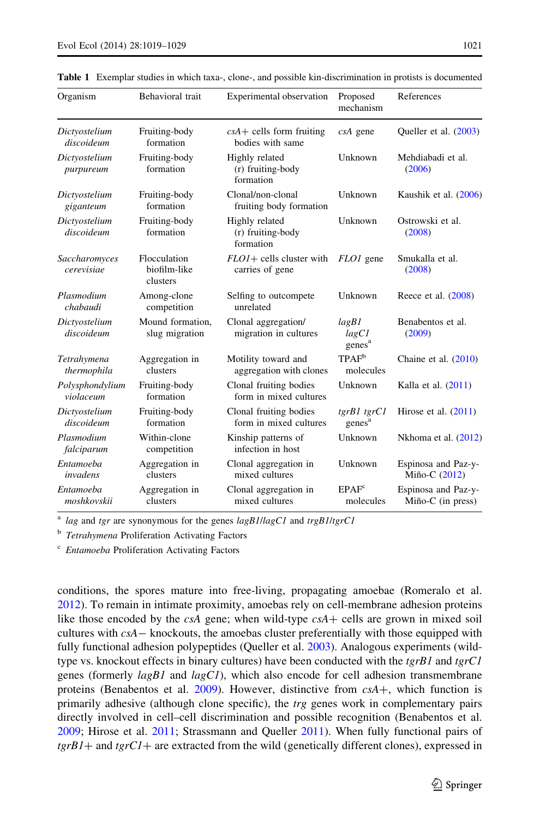| Organism                     | Behavioral trait                         | Experimental observation                         | Proposed<br>mechanism                | References                                         |
|------------------------------|------------------------------------------|--------------------------------------------------|--------------------------------------|----------------------------------------------------|
| Dictyostelium<br>discoideum  | Fruiting-body<br>formation               | $csA +$ cells form fruiting<br>bodies with same  | $csA$ gene                           | Queller et al. (2003)                              |
| Dictyostelium<br>purpureum   | Fruiting-body<br>formation               | Highly related<br>(r) fruiting-body<br>formation | Unknown                              | Mehdiabadi et al.<br>(2006)                        |
| Dictyostelium<br>giganteum   | Fruiting-body<br>formation               | Clonal/non-clonal<br>fruiting body formation     | Unknown                              | Kaushik et al. (2006)                              |
| Dictyostelium<br>discoideum  | Fruiting-body<br>formation               | Highly related<br>(r) fruiting-body<br>formation | Unknown                              | Ostrowski et al.<br>(2008)                         |
| Saccharomyces<br>cerevisiae  | Flocculation<br>biofilm-like<br>clusters | FLO1+ cells cluster with<br>carries of gene      | FLO1 gene                            | Smukalla et al.<br>(2008)                          |
| Plasmodium<br>chabaudi       | Among-clone<br>competition               | Selfing to outcompete<br>unrelated               | Unknown                              | Reece et al. $(2008)$                              |
| Dictyostelium<br>discoideum  | Mound formation.<br>slug migration       | Clonal aggregation/<br>migration in cultures     | lagB1<br>lagCI<br>genes <sup>a</sup> | Benabentos et al.<br>(2009)                        |
| Tetrahymena<br>thermophila   | Aggregation in<br>clusters               | Motility toward and<br>aggregation with clones   | $TPAF^b$<br>molecules                | Chaine et al. $(2010)$                             |
| Polysphondylium<br>violaceum | Fruiting-body<br>formation               | Clonal fruiting bodies<br>form in mixed cultures | Unknown                              | Kalla et al. $(2011)$                              |
| Dictyostelium<br>discoideum  | Fruiting-body<br>formation               | Clonal fruiting bodies<br>form in mixed cultures | tgrB1 tgrC1<br>genes <sup>a</sup>    | Hirose et al. $(2011)$                             |
| Plasmodium<br>falciparum     | Within-clone<br>competition              | Kinship patterns of<br>infection in host         | Unknown                              | Nkhoma et al. (2012)                               |
| Entamoeba<br>invadens        | Aggregation in<br>clusters               | Clonal aggregation in<br>mixed cultures          | Unknown                              | Espinosa and Paz-y-<br>Miño-C (2012)               |
| Entamoeba<br>moshkovskii     | Aggregation in<br>clusters               | Clonal aggregation in<br>mixed cultures          | EPAF <sup>c</sup><br>molecules       | Espinosa and Paz-y-<br>$Mi\tilde{n}o-C$ (in press) |

<span id="page-2-0"></span>Table 1 Exemplar studies in which taxa-, clone-, and possible kin-discrimination in protists is documented

lag and tgr are synonymous for the genes  $lagB1/lagC1$  and  $trgB1/terC1$ 

**b** Tetrahymena Proliferation Activating Factors

<sup>c</sup> Entamoeba Proliferation Activating Factors

conditions, the spores mature into free-living, propagating amoebae (Romeralo et al. [2012\)](#page-10-0). To remain in intimate proximity, amoebas rely on cell-membrane adhesion proteins like those encoded by the  $csA$  gene; when wild-type  $csA +$  cells are grown in mixed soil cultures with  $csA -$  knockouts, the amoebas cluster preferentially with those equipped with fully functional adhesion polypeptides (Queller et al. [2003](#page-10-0)). Analogous experiments (wildtype vs. knockout effects in binary cultures) have been conducted with the  $tgrBI$  and  $tgrCI$ genes (formerly  $lagBI$  and  $lagCI$ ), which also encode for cell adhesion transmembrane proteins (Benabentos et al. [2009](#page-9-0)). However, distinctive from  $csA+$ , which function is primarily adhesive (although clone specific), the trg genes work in complementary pairs directly involved in cell–cell discrimination and possible recognition (Benabentos et al. [2009;](#page-9-0) Hirose et al. [2011;](#page-9-0) Strassmann and Queller [2011](#page-10-0)). When fully functional pairs of  $tgrBI+$  and  $tgrCI+$  are extracted from the wild (genetically different clones), expressed in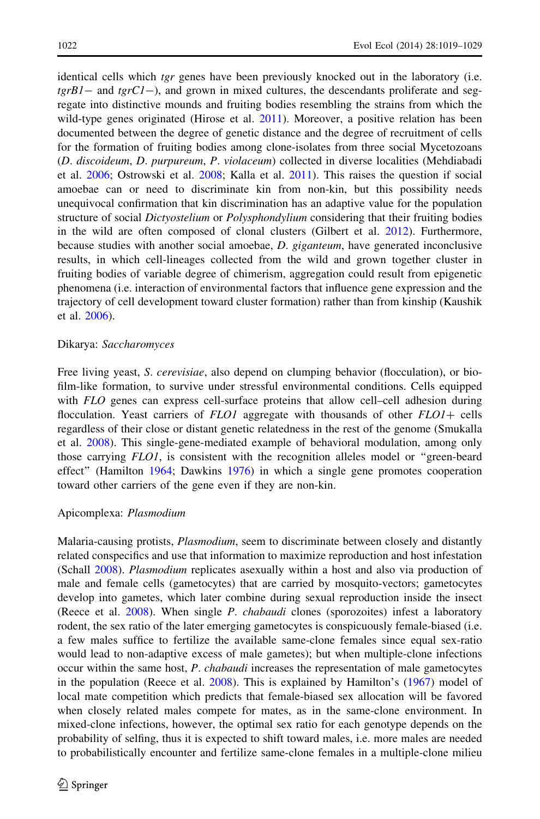identical cells which tgr genes have been previously knocked out in the laboratory (i.e.  $tgrB1-$  and  $tgrC1-$ ), and grown in mixed cultures, the descendants proliferate and segregate into distinctive mounds and fruiting bodies resembling the strains from which the wild-type genes originated (Hirose et al. [2011](#page-9-0)). Moreover, a positive relation has been documented between the degree of genetic distance and the degree of recruitment of cells for the formation of fruiting bodies among clone-isolates from three social Mycetozoans (D. discoideum, D. purpureum, P. violaceum) collected in diverse localities (Mehdiabadi et al. [2006](#page-10-0); Ostrowski et al. [2008;](#page-10-0) Kalla et al. [2011](#page-9-0)). This raises the question if social amoebae can or need to discriminate kin from non-kin, but this possibility needs unequivocal confirmation that kin discrimination has an adaptive value for the population structure of social *Dictyostelium* or *Polysphondylium* considering that their fruiting bodies in the wild are often composed of clonal clusters (Gilbert et al. [2012\)](#page-9-0). Furthermore, because studies with another social amoebae, *D. giganteum*, have generated inconclusive results, in which cell-lineages collected from the wild and grown together cluster in fruiting bodies of variable degree of chimerism, aggregation could result from epigenetic phenomena (i.e. interaction of environmental factors that influence gene expression and the trajectory of cell development toward cluster formation) rather than from kinship (Kaushik et al. [2006](#page-9-0)).

### Dikarya: Saccharomyces

Free living yeast, *S. cerevisiae*, also depend on clumping behavior (flocculation), or biofilm-like formation, to survive under stressful environmental conditions. Cells equipped with FLO genes can express cell-surface proteins that allow cell–cell adhesion during flocculation. Yeast carriers of  $FLO1$  aggregate with thousands of other  $FLO1+$  cells regardless of their close or distant genetic relatedness in the rest of the genome (Smukalla et al. [2008](#page-10-0)). This single-gene-mediated example of behavioral modulation, among only those carrying FLO1, is consistent with the recognition alleles model or "green-beard" effect'' (Hamilton [1964](#page-9-0); Dawkins [1976\)](#page-9-0) in which a single gene promotes cooperation toward other carriers of the gene even if they are non-kin.

#### Apicomplexa: Plasmodium

Malaria-causing protists, Plasmodium, seem to discriminate between closely and distantly related conspecifics and use that information to maximize reproduction and host infestation (Schall [2008](#page-10-0)). Plasmodium replicates asexually within a host and also via production of male and female cells (gametocytes) that are carried by mosquito-vectors; gametocytes develop into gametes, which later combine during sexual reproduction inside the insect (Reece et al. [2008](#page-10-0)). When single P. chabaudi clones (sporozoites) infest a laboratory rodent, the sex ratio of the later emerging gametocytes is conspicuously female-biased (i.e. a few males suffice to fertilize the available same-clone females since equal sex-ratio would lead to non-adaptive excess of male gametes); but when multiple-clone infections occur within the same host, P. *chabaudi* increases the representation of male gametocytes in the population (Reece et al. [2008](#page-10-0)). This is explained by Hamilton's ([1967\)](#page-9-0) model of local mate competition which predicts that female-biased sex allocation will be favored when closely related males compete for mates, as in the same-clone environment. In mixed-clone infections, however, the optimal sex ratio for each genotype depends on the probability of selfing, thus it is expected to shift toward males, i.e. more males are needed to probabilistically encounter and fertilize same-clone females in a multiple-clone milieu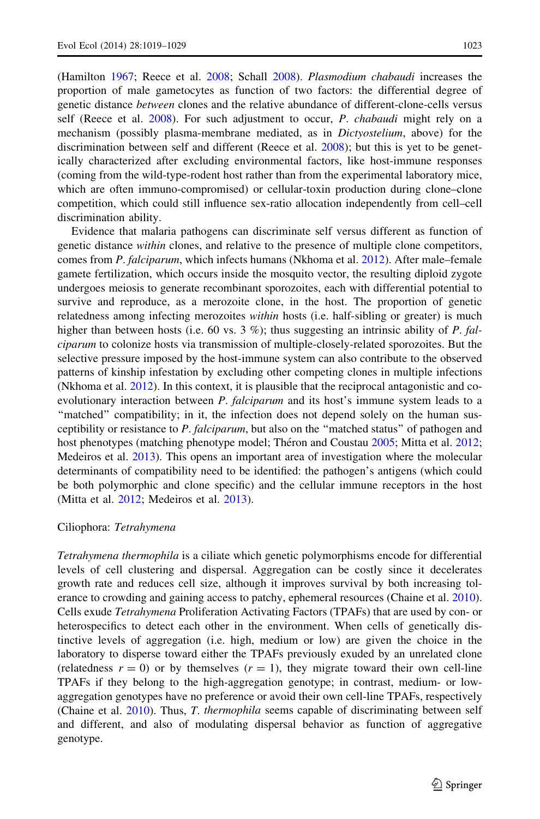(Hamilton [1967;](#page-9-0) Reece et al. [2008](#page-10-0); Schall [2008](#page-10-0)). Plasmodium chabaudi increases the proportion of male gametocytes as function of two factors: the differential degree of genetic distance between clones and the relative abundance of different-clone-cells versus self (Reece et al.  $2008$ ). For such adjustment to occur, P. *chabaudi* might rely on a mechanism (possibly plasma-membrane mediated, as in Dictyostelium, above) for the discrimination between self and different (Reece et al. [2008\)](#page-10-0); but this is yet to be genetically characterized after excluding environmental factors, like host-immune responses (coming from the wild-type-rodent host rather than from the experimental laboratory mice, which are often immuno-compromised) or cellular-toxin production during clone–clone competition, which could still influence sex-ratio allocation independently from cell–cell discrimination ability.

Evidence that malaria pathogens can discriminate self versus different as function of genetic distance *within* clones, and relative to the presence of multiple clone competitors, comes from P. falciparum, which infects humans (Nkhoma et al. [2012](#page-10-0)). After male–female gamete fertilization, which occurs inside the mosquito vector, the resulting diploid zygote undergoes meiosis to generate recombinant sporozoites, each with differential potential to survive and reproduce, as a merozoite clone, in the host. The proportion of genetic relatedness among infecting merozoites within hosts (i.e. half-sibling or greater) is much higher than between hosts (i.e. 60 vs. 3 %); thus suggesting an intrinsic ability of P. falciparum to colonize hosts via transmission of multiple-closely-related sporozoites. But the selective pressure imposed by the host-immune system can also contribute to the observed patterns of kinship infestation by excluding other competing clones in multiple infections (Nkhoma et al.  $2012$ ). In this context, it is plausible that the reciprocal antagonistic and coevolutionary interaction between P. falciparum and its host's immune system leads to a ''matched'' compatibility; in it, the infection does not depend solely on the human susceptibility or resistance to P. falciparum, but also on the "matched status" of pathogen and host phenotypes (matching phenotype model; Théron and Coustau [2005](#page-10-0); Mitta et al. [2012;](#page-10-0) Medeiros et al. [2013\)](#page-10-0). This opens an important area of investigation where the molecular determinants of compatibility need to be identified: the pathogen's antigens (which could be both polymorphic and clone specific) and the cellular immune receptors in the host (Mitta et al. [2012](#page-10-0); Medeiros et al. [2013](#page-10-0)).

## Ciliophora: Tetrahymena

Tetrahymena thermophila is a ciliate which genetic polymorphisms encode for differential levels of cell clustering and dispersal. Aggregation can be costly since it decelerates growth rate and reduces cell size, although it improves survival by both increasing tolerance to crowding and gaining access to patchy, ephemeral resources (Chaine et al. [2010](#page-9-0)). Cells exude Tetrahymena Proliferation Activating Factors (TPAFs) that are used by con- or heterospecifics to detect each other in the environment. When cells of genetically distinctive levels of aggregation (i.e. high, medium or low) are given the choice in the laboratory to disperse toward either the TPAFs previously exuded by an unrelated clone (relatedness  $r = 0$ ) or by themselves  $(r = 1)$ , they migrate toward their own cell-line TPAFs if they belong to the high-aggregation genotype; in contrast, medium- or lowaggregation genotypes have no preference or avoid their own cell-line TPAFs, respectively (Chaine et al. [2010\)](#page-9-0). Thus, T. thermophila seems capable of discriminating between self and different, and also of modulating dispersal behavior as function of aggregative genotype.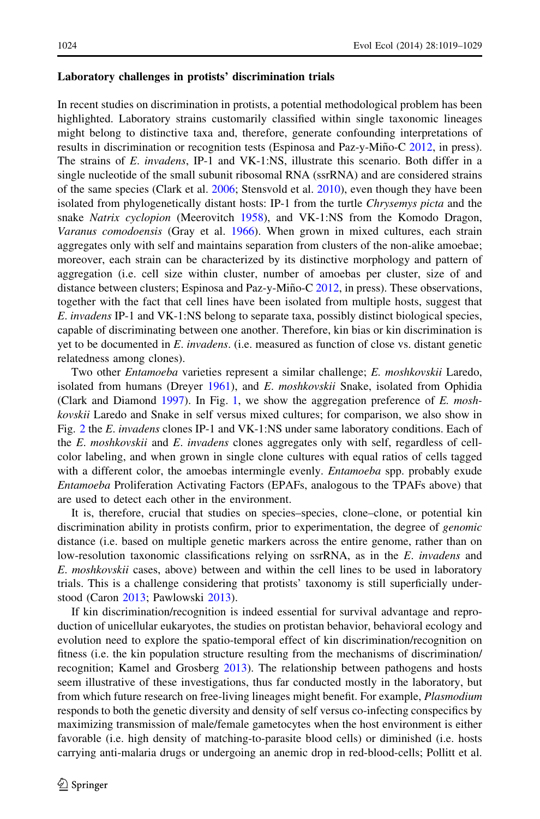#### Laboratory challenges in protists' discrimination trials

In recent studies on discrimination in protists, a potential methodological problem has been highlighted. Laboratory strains customarily classified within single taxonomic lineages might belong to distinctive taxa and, therefore, generate confounding interpretations of results in discrimination or recognition tests (Espinosa and Paz-y-Miño-C [2012](#page-9-0), in press). The strains of E. invadens, IP-1 and VK-1:NS, illustrate this scenario. Both differ in a single nucleotide of the small subunit ribosomal RNA (ssrRNA) and are considered strains of the same species (Clark et al. [2006](#page-9-0); Stensvold et al. [2010](#page-10-0)), even though they have been isolated from phylogenetically distant hosts: IP-1 from the turtle *Chrysemys picta* and the snake Natrix cyclopion (Meerovitch [1958\)](#page-10-0), and VK-1:NS from the Komodo Dragon, Varanus comodoensis (Gray et al. [1966](#page-9-0)). When grown in mixed cultures, each strain aggregates only with self and maintains separation from clusters of the non-alike amoebae; moreover, each strain can be characterized by its distinctive morphology and pattern of aggregation (i.e. cell size within cluster, number of amoebas per cluster, size of and distance between clusters; Espinosa and Paz-y-Miño-C [2012](#page-9-0), in press). These observations, together with the fact that cell lines have been isolated from multiple hosts, suggest that E. invadens IP-1 and VK-1:NS belong to separate taxa, possibly distinct biological species, capable of discriminating between one another. Therefore, kin bias or kin discrimination is yet to be documented in  $E$ . invadens. (i.e. measured as function of close vs. distant genetic relatedness among clones).

Two other Entamoeba varieties represent a similar challenge; E. moshkovskii Laredo, isolated from humans (Dreyer  $1961$ ), and E. moshkovskii Snake, isolated from Ophidia (Clark and Diamond [1997](#page-9-0)). In Fig. [1,](#page-6-0) we show the aggregation preference of  $E$ . moshkovskii Laredo and Snake in self versus mixed cultures; for comparison, we also show in Fig. [2](#page-7-0) the E. invadens clones IP-1 and VK-1:NS under same laboratory conditions. Each of the E. moshkovskii and E. invadens clones aggregates only with self, regardless of cellcolor labeling, and when grown in single clone cultures with equal ratios of cells tagged with a different color, the amoebas intermingle evenly. *Entamoeba* spp. probably exude Entamoeba Proliferation Activating Factors (EPAFs, analogous to the TPAFs above) that are used to detect each other in the environment.

It is, therefore, crucial that studies on species–species, clone–clone, or potential kin discrimination ability in protists confirm, prior to experimentation, the degree of *genomic* distance (i.e. based on multiple genetic markers across the entire genome, rather than on low-resolution taxonomic classifications relying on ssrRNA, as in the E. *invadens* and E. moshkovskii cases, above) between and within the cell lines to be used in laboratory trials. This is a challenge considering that protists' taxonomy is still superficially understood (Caron [2013;](#page-9-0) Pawlowski [2013](#page-10-0)).

If kin discrimination/recognition is indeed essential for survival advantage and reproduction of unicellular eukaryotes, the studies on protistan behavior, behavioral ecology and evolution need to explore the spatio-temporal effect of kin discrimination/recognition on fitness (i.e. the kin population structure resulting from the mechanisms of discrimination/ recognition; Kamel and Grosberg [2013](#page-9-0)). The relationship between pathogens and hosts seem illustrative of these investigations, thus far conducted mostly in the laboratory, but from which future research on free-living lineages might benefit. For example, *Plasmodium* responds to both the genetic diversity and density of self versus co-infecting conspecifics by maximizing transmission of male/female gametocytes when the host environment is either favorable (i.e. high density of matching-to-parasite blood cells) or diminished (i.e. hosts carrying anti-malaria drugs or undergoing an anemic drop in red-blood-cells; Pollitt et al.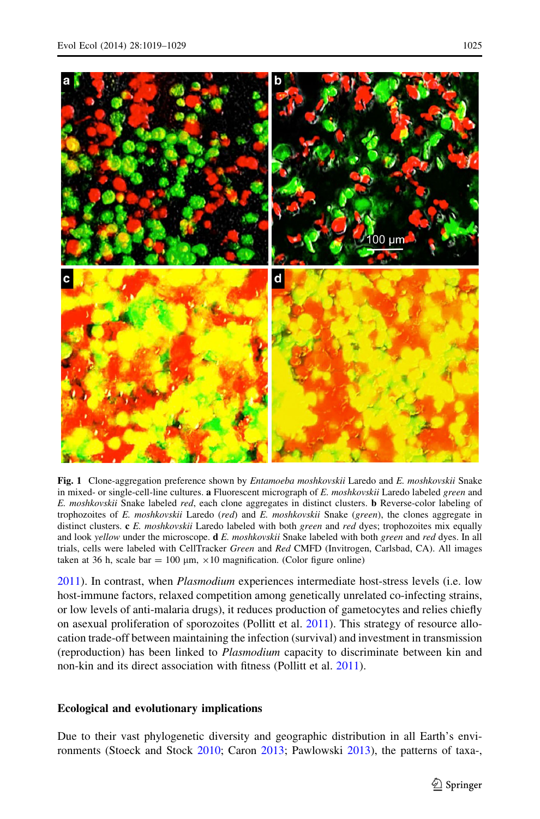

<span id="page-6-0"></span>

Fig. 1 Clone-aggregation preference shown by *Entamoeba moshkovskii* Laredo and *E. moshkovskii* Snake in mixed- or single-cell-line cultures. a Fluorescent micrograph of E. moshkovskii Laredo labeled green and E. moshkovskii Snake labeled red, each clone aggregates in distinct clusters. **b** Reverse-color labeling of trophozoites of E. moshkovskii Laredo (red) and E. moshkovskii Snake (green), the clones aggregate in distinct clusters. c E. moshkovskii Laredo labeled with both green and red dyes; trophozoites mix equally and look yellow under the microscope.  $dE$ . moshkovskii Snake labeled with both green and red dyes. In all trials, cells were labeled with CellTracker Green and Red CMFD (Invitrogen, Carlsbad, CA). All images taken at 36 h, scale bar = 100  $\mu$ m,  $\times$ 10 magnification. (Color figure online)

[2011\)](#page-10-0). In contrast, when Plasmodium experiences intermediate host-stress levels (i.e. low host-immune factors, relaxed competition among genetically unrelated co-infecting strains, or low levels of anti-malaria drugs), it reduces production of gametocytes and relies chiefly on asexual proliferation of sporozoites (Pollitt et al. [2011](#page-10-0)). This strategy of resource allocation trade-off between maintaining the infection (survival) and investment in transmission (reproduction) has been linked to Plasmodium capacity to discriminate between kin and non-kin and its direct association with fitness (Pollitt et al. [2011\)](#page-10-0).

# Ecological and evolutionary implications

Due to their vast phylogenetic diversity and geographic distribution in all Earth's environments (Stoeck and Stock [2010;](#page-10-0) Caron [2013;](#page-9-0) Pawlowski [2013\)](#page-10-0), the patterns of taxa-,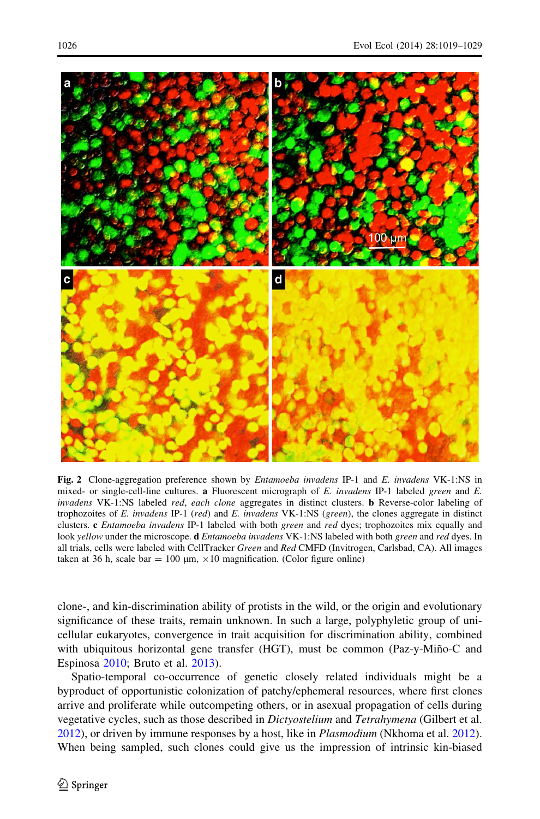<span id="page-7-0"></span>

Fig. 2 Clone-aggregation preference shown by *Entamoeba invadens* IP-1 and *E. invadens* VK-1:NS in mixed- or single-cell-line cultures. a Fluorescent micrograph of  $E$ . invadens IP-1 labeled green and  $E$ . invadens VK-1:NS labeled red, each clone aggregates in distinct clusters. **b** Reverse-color labeling of trophozoites of E. invadens IP-1 (red) and E. invadens VK-1:NS (green), the clones aggregate in distinct clusters. c Entamoeba invadens IP-1 labeled with both green and red dyes; trophozoites mix equally and look yellow under the microscope. **d** *Entamoeba invadens* VK-1:NS labeled with both green and red dyes. In all trials, cells were labeled with CellTracker Green and Red CMFD (Invitrogen, Carlsbad, CA). All images taken at 36 h, scale bar = 100  $\mu$ m,  $\times$ 10 magnification. (Color figure online)

clone-, and kin-discrimination ability of protists in the wild, or the origin and evolutionary significance of these traits, remain unknown. In such a large, polyphyletic group of unicellular eukaryotes, convergence in trait acquisition for discrimination ability, combined with ubiquitous horizontal gene transfer (HGT), must be common (Paz-y-Miño-C and Espinosa [2010](#page-10-0); Bruto et al. [2013\)](#page-9-0).

Spatio-temporal co-occurrence of genetic closely related individuals might be a byproduct of opportunistic colonization of patchy/ephemeral resources, where first clones arrive and proliferate while outcompeting others, or in asexual propagation of cells during vegetative cycles, such as those described in Dictyostelium and Tetrahymena (Gilbert et al. [2012\)](#page-9-0), or driven by immune responses by a host, like in Plasmodium (Nkhoma et al. [2012](#page-10-0)). When being sampled, such clones could give us the impression of intrinsic kin-biased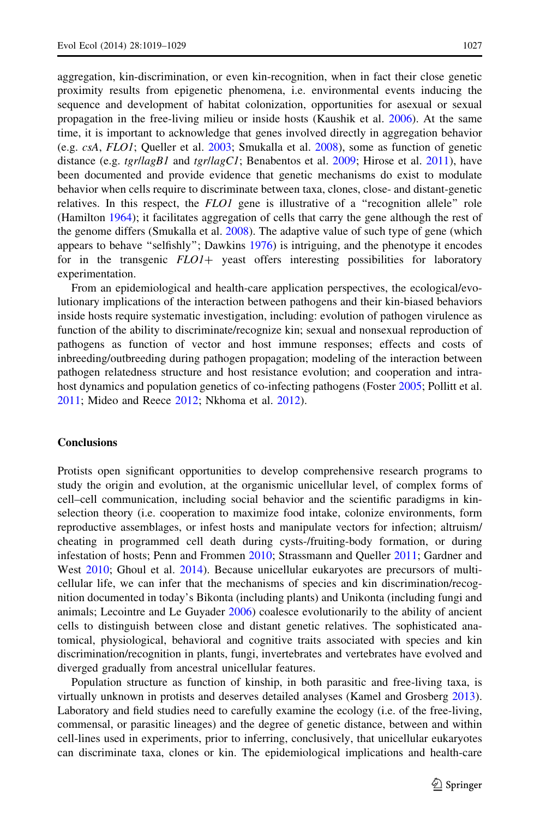aggregation, kin-discrimination, or even kin-recognition, when in fact their close genetic proximity results from epigenetic phenomena, i.e. environmental events inducing the sequence and development of habitat colonization, opportunities for asexual or sexual propagation in the free-living milieu or inside hosts (Kaushik et al. [2006\)](#page-9-0). At the same time, it is important to acknowledge that genes involved directly in aggregation behavior (e.g. csA, FLO1; Queller et al. [2003;](#page-10-0) Smukalla et al. [2008](#page-10-0)), some as function of genetic distance (e.g.  $tgrllagBI$  and  $tgrllagCI$ ; Benabentos et al. [2009;](#page-9-0) Hirose et al. [2011\)](#page-9-0), have been documented and provide evidence that genetic mechanisms do exist to modulate behavior when cells require to discriminate between taxa, clones, close- and distant-genetic relatives. In this respect, the  $FLOI$  gene is illustrative of a "recognition allele" role (Hamilton [1964\)](#page-9-0); it facilitates aggregation of cells that carry the gene although the rest of the genome differs (Smukalla et al. [2008\)](#page-10-0). The adaptive value of such type of gene (which appears to behave ''selfishly''; Dawkins [1976\)](#page-9-0) is intriguing, and the phenotype it encodes for in the transgenic  $FLOI+$  yeast offers interesting possibilities for laboratory experimentation.

From an epidemiological and health-care application perspectives, the ecological/evolutionary implications of the interaction between pathogens and their kin-biased behaviors inside hosts require systematic investigation, including: evolution of pathogen virulence as function of the ability to discriminate/recognize kin; sexual and nonsexual reproduction of pathogens as function of vector and host immune responses; effects and costs of inbreeding/outbreeding during pathogen propagation; modeling of the interaction between pathogen relatedness structure and host resistance evolution; and cooperation and intra-host dynamics and population genetics of co-infecting pathogens (Foster [2005](#page-9-0); Pollitt et al. [2011;](#page-10-0) Mideo and Reece [2012;](#page-10-0) Nkhoma et al. [2012\)](#page-10-0).

#### **Conclusions**

Protists open significant opportunities to develop comprehensive research programs to study the origin and evolution, at the organismic unicellular level, of complex forms of cell–cell communication, including social behavior and the scientific paradigms in kinselection theory (i.e. cooperation to maximize food intake, colonize environments, form reproductive assemblages, or infest hosts and manipulate vectors for infection; altruism/ cheating in programmed cell death during cysts-/fruiting-body formation, or during infestation of hosts; Penn and Frommen [2010](#page-10-0); Strassmann and Queller [2011;](#page-10-0) Gardner and West [2010;](#page-9-0) Ghoul et al. [2014](#page-9-0)). Because unicellular eukaryotes are precursors of multicellular life, we can infer that the mechanisms of species and kin discrimination/recognition documented in today's Bikonta (including plants) and Unikonta (including fungi and animals; Lecointre and Le Guyader [2006](#page-10-0)) coalesce evolutionarily to the ability of ancient cells to distinguish between close and distant genetic relatives. The sophisticated anatomical, physiological, behavioral and cognitive traits associated with species and kin discrimination/recognition in plants, fungi, invertebrates and vertebrates have evolved and diverged gradually from ancestral unicellular features.

Population structure as function of kinship, in both parasitic and free-living taxa, is virtually unknown in protists and deserves detailed analyses (Kamel and Grosberg [2013](#page-9-0)). Laboratory and field studies need to carefully examine the ecology (i.e. of the free-living, commensal, or parasitic lineages) and the degree of genetic distance, between and within cell-lines used in experiments, prior to inferring, conclusively, that unicellular eukaryotes can discriminate taxa, clones or kin. The epidemiological implications and health-care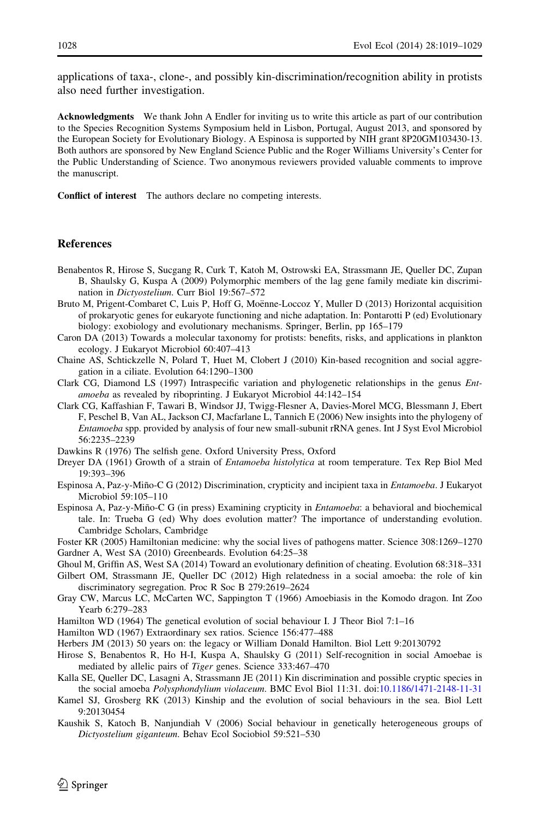<span id="page-9-0"></span>applications of taxa-, clone-, and possibly kin-discrimination/recognition ability in protists also need further investigation.

Acknowledgments We thank John A Endler for inviting us to write this article as part of our contribution to the Species Recognition Systems Symposium held in Lisbon, Portugal, August 2013, and sponsored by the European Society for Evolutionary Biology. A Espinosa is supported by NIH grant 8P20GM103430-13. Both authors are sponsored by New England Science Public and the Roger Williams University's Center for the Public Understanding of Science. Two anonymous reviewers provided valuable comments to improve the manuscript.

Conflict of interest The authors declare no competing interests.

#### **References**

- Benabentos R, Hirose S, Sucgang R, Curk T, Katoh M, Ostrowski EA, Strassmann JE, Queller DC, Zupan B, Shaulsky G, Kuspa A (2009) Polymorphic members of the lag gene family mediate kin discrimination in Dictyostelium. Curr Biol 19:567–572
- Bruto M, Prigent-Combaret C, Luis P, Hoff G, Moënne-Loccoz Y, Muller D (2013) Horizontal acquisition of prokaryotic genes for eukaryote functioning and niche adaptation. In: Pontarotti P (ed) Evolutionary biology: exobiology and evolutionary mechanisms. Springer, Berlin, pp 165–179
- Caron DA (2013) Towards a molecular taxonomy for protists: benefits, risks, and applications in plankton ecology. J Eukaryot Microbiol 60:407–413
- Chaine AS, Schtickzelle N, Polard T, Huet M, Clobert J (2010) Kin-based recognition and social aggregation in a ciliate. Evolution 64:1290–1300

Clark CG, Diamond LS (1997) Intraspecific variation and phylogenetic relationships in the genus Entamoeba as revealed by riboprinting. J Eukaryot Microbiol 44:142–154

- Clark CG, Kaffashian F, Tawari B, Windsor JJ, Twigg-Flesner A, Davies-Morel MCG, Blessmann J, Ebert F, Peschel B, Van AL, Jackson CJ, Macfarlane L, Tannich E (2006) New insights into the phylogeny of Entamoeba spp. provided by analysis of four new small-subunit rRNA genes. Int J Syst Evol Microbiol 56:2235–2239
- Dawkins R (1976) The selfish gene. Oxford University Press, Oxford
- Dreyer DA (1961) Growth of a strain of Entamoeba histolytica at room temperature. Tex Rep Biol Med 19:393–396
- Espinosa A, Paz-y-Miño-C G (2012) Discrimination, crypticity and incipient taxa in *Entamoeba*. J Eukaryot Microbiol 59:105–110
- Espinosa A, Paz-y-Miño-C G (in press) Examining crypticity in *Entamoeba*: a behavioral and biochemical tale. In: Trueba G (ed) Why does evolution matter? The importance of understanding evolution. Cambridge Scholars, Cambridge
- Foster KR (2005) Hamiltonian medicine: why the social lives of pathogens matter. Science 308:1269–1270 Gardner A, West SA (2010) Greenbeards. Evolution 64:25–38
- Ghoul M, Griffin AS, West SA (2014) Toward an evolutionary definition of cheating. Evolution 68:318–331

Gilbert OM, Strassmann JE, Queller DC (2012) High relatedness in a social amoeba: the role of kin discriminatory segregation. Proc R Soc B 279:2619–2624

- Gray CW, Marcus LC, McCarten WC, Sappington T (1966) Amoebiasis in the Komodo dragon. Int Zoo Yearb 6:279–283
- Hamilton WD (1964) The genetical evolution of social behaviour I. J Theor Biol 7:1–16
- Hamilton WD (1967) Extraordinary sex ratios. Science 156:477–488
- Herbers JM (2013) 50 years on: the legacy or William Donald Hamilton. Biol Lett 9:20130792
- Hirose S, Benabentos R, Ho H-I, Kuspa A, Shaulsky G (2011) Self-recognition in social Amoebae is mediated by allelic pairs of Tiger genes. Science 333:467–470
- Kalla SE, Queller DC, Lasagni A, Strassmann JE (2011) Kin discrimination and possible cryptic species in the social amoeba Polysphondylium violaceum. BMC Evol Biol 11:31. doi:[10.1186/1471-2148-11-31](http://dx.doi.org/10.1186/1471-2148-11-31)
- Kamel SJ, Grosberg RK (2013) Kinship and the evolution of social behaviours in the sea. Biol Lett 9:20130454
- Kaushik S, Katoch B, Nanjundiah V (2006) Social behaviour in genetically heterogeneous groups of Dictyostelium giganteum. Behav Ecol Sociobiol 59:521–530